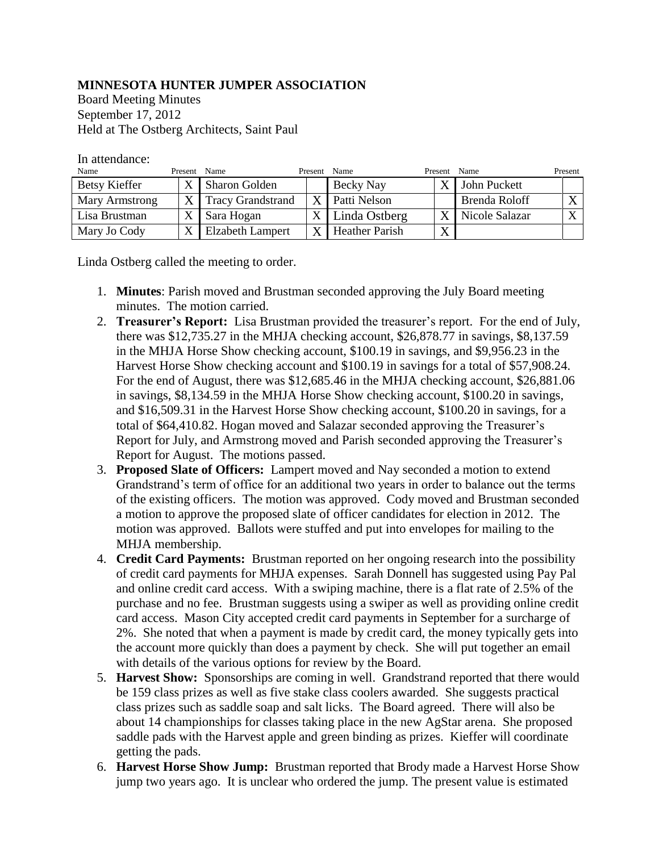## **MINNESOTA HUNTER JUMPER ASSOCIATION**

Board Meeting Minutes September 17, 2012 Held at The Ostberg Architects, Saint Paul

| Name                 | Present Name   |                          | Present Name |                       | Present | Name           | Present |
|----------------------|----------------|--------------------------|--------------|-----------------------|---------|----------------|---------|
| <b>Betsy Kieffer</b> | $\mathbf v$    | <b>Sharon Golden</b>     |              | Becky Nay             | X       | John Puckett   |         |
| Mary Armstrong       | X <sub>1</sub> | <b>Tracy Grandstrand</b> |              | Patti Nelson          |         | Brenda Roloff  |         |
| Lisa Brustman        |                | Sara Hogan               |              | Linda Ostberg         | X       | Nicole Salazar |         |
| Mary Jo Cody         |                | <b>Elzabeth Lampert</b>  |              | <b>Heather Parish</b> | X       |                |         |

In attendance:

Linda Ostberg called the meeting to order.

- 1. **Minutes**: Parish moved and Brustman seconded approving the July Board meeting minutes. The motion carried.
- 2. **Treasurer's Report:** Lisa Brustman provided the treasurer's report. For the end of July, there was \$12,735.27 in the MHJA checking account, \$26,878.77 in savings, \$8,137.59 in the MHJA Horse Show checking account, \$100.19 in savings, and \$9,956.23 in the Harvest Horse Show checking account and \$100.19 in savings for a total of \$57,908.24. For the end of August, there was \$12,685.46 in the MHJA checking account, \$26,881.06 in savings, \$8,134.59 in the MHJA Horse Show checking account, \$100.20 in savings, and \$16,509.31 in the Harvest Horse Show checking account, \$100.20 in savings, for a total of \$64,410.82. Hogan moved and Salazar seconded approving the Treasurer's Report for July, and Armstrong moved and Parish seconded approving the Treasurer's Report for August. The motions passed.
- 3. **Proposed Slate of Officers:** Lampert moved and Nay seconded a motion to extend Grandstrand's term of office for an additional two years in order to balance out the terms of the existing officers. The motion was approved. Cody moved and Brustman seconded a motion to approve the proposed slate of officer candidates for election in 2012. The motion was approved. Ballots were stuffed and put into envelopes for mailing to the MHJA membership.
- 4. **Credit Card Payments:** Brustman reported on her ongoing research into the possibility of credit card payments for MHJA expenses. Sarah Donnell has suggested using Pay Pal and online credit card access. With a swiping machine, there is a flat rate of 2.5% of the purchase and no fee. Brustman suggests using a swiper as well as providing online credit card access. Mason City accepted credit card payments in September for a surcharge of 2%. She noted that when a payment is made by credit card, the money typically gets into the account more quickly than does a payment by check. She will put together an email with details of the various options for review by the Board.
- 5. **Harvest Show:** Sponsorships are coming in well. Grandstrand reported that there would be 159 class prizes as well as five stake class coolers awarded. She suggests practical class prizes such as saddle soap and salt licks. The Board agreed. There will also be about 14 championships for classes taking place in the new AgStar arena. She proposed saddle pads with the Harvest apple and green binding as prizes. Kieffer will coordinate getting the pads.
- 6. **Harvest Horse Show Jump:** Brustman reported that Brody made a Harvest Horse Show jump two years ago. It is unclear who ordered the jump. The present value is estimated